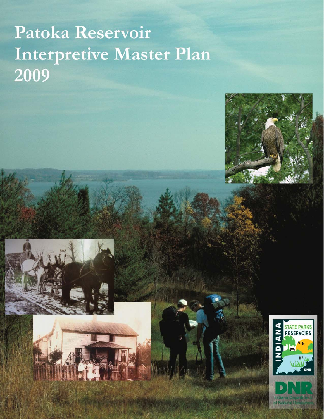# Patoka Reservoir Interpretive Master Plan 2009



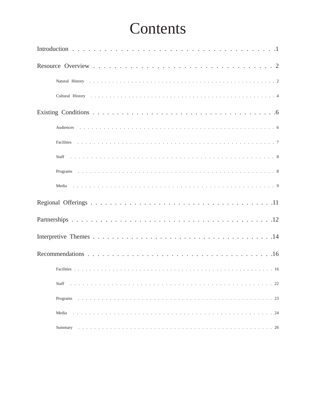# Contents

| Staff    |
|----------|
| Programs |
| Media    |
| Summary  |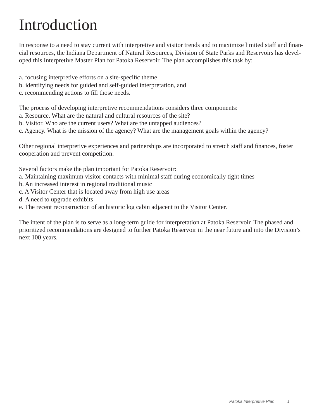# Introduction

In response to a need to stay current with interpretive and visitor trends and to maximize limited staff and financial resources, the Indiana Department of Natural Resources, Division of State Parks and Reservoirs has developed this Interpretive Master Plan for Patoka Reservoir. The plan accomplishes this task by:

- a. focusing interpretive efforts on a site-specific theme
- b. identifying needs for guided and self-guided interpretation, and
- c. recommending actions to fill those needs.

The process of developing interpretive recommendations considers three components:

- a. Resource. What are the natural and cultural resources of the site?
- b. Visitor. Who are the current users? What are the untapped audiences?
- c. Agency. What is the mission of the agency? What are the management goals within the agency?

Other regional interpretive experiences and partnerships are incorporated to stretch staff and finances, foster cooperation and prevent competition.

Several factors make the plan important for Patoka Reservoir:

- a. Maintaining maximum visitor contacts with minimal staff during economically tight times
- b. An increased interest in regional traditional music
- c. A Visitor Center that is located away from high use areas
- d. A need to upgrade exhibits
- e. The recent reconstruction of an historic log cabin adjacent to the Visitor Center.

The intent of the plan is to serve as a long-term guide for interpretation at Patoka Reservoir. The phased and prioritized recommendations are designed to further Patoka Reservoir in the near future and into the Division's next 100 years.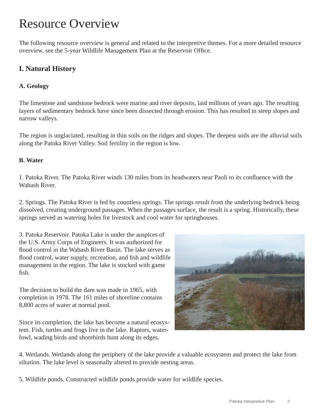# Resource Overview

The following resource overview is general and related to the interpretive themes. For a more detailed resource overview, see the 5-year Wildlife Management Plan at the Reservoir Office.

## **I. Natural History**

#### **A. Geology**

The limestone and sandstone bedrock were marine and river deposits, laid millions of years ago. The resulting layers of sedimentary bedrock have since been dissected through erosion. This has resulted in steep slopes and narrow valleys.

The region is unglaciated, resulting in thin soils on the ridges and slopes. The deepest soils are the alluvial soils along the Patoka River Valley. Soil fertility in the region is low.

#### **B. Water**

1. Patoka River. The Patoka River winds 130 miles from its headwaters near Paoli to its confluence with the Wabash River.

2. Springs. The Patoka River is fed by countless springs. The springs result from the underlying bedrock being dissolved, creating underground passages. When the passages surface, the result is a spring. Historically, these springs served as watering holes for livestock and cool water for springhouses.

3. Patoka Reservoir. Patoka Lake is under the auspices of the U.S. Army Corps of Engineers. It was authorized for flood control in the Wabash River Basin. The lake serves as flood control, water supply, recreation, and fish and wildlife management in the region. The lake is stocked with game fish.

The decision to build the dam was made in 1965, with completion in 1978. The 161 miles of shoreline contains 8,800 acres of water at normal pool.

Since its completion, the lake has become a natural ecosystem. Fish, turtles and frogs live in the lake. Raptors, waterfowl, wading birds and shorebirds hunt along its edges.



4. Wetlands. Wetlands along the periphery of the lake provide a valuable ecosystem and protect the lake from siltation. The lake level is seasonally altered to provide nesting areas.

5. Wildlife ponds. Constructed wildlife ponds provide water for wildlife species.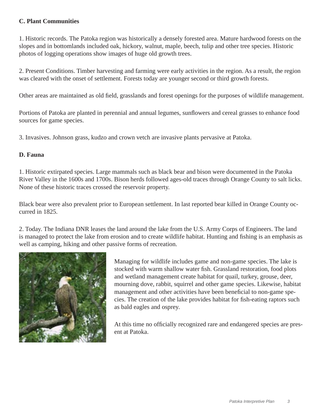#### **C. Plant Communities**

1. Historic records. The Patoka region was historically a densely forested area. Mature hardwood forests on the slopes and in bottomlands included oak, hickory, walnut, maple, beech, tulip and other tree species. Historic photos of logging operations show images of huge old growth trees.

2. Present Conditions. Timber harvesting and farming were early activities in the region. As a result, the region was cleared with the onset of settlement. Forests today are younger second or third growth forests.

Other areas are maintained as old field, grasslands and forest openings for the purposes of wildlife management.

Portions of Patoka are planted in perennial and annual legumes, sunflowers and cereal grasses to enhance food sources for game species.

3. Invasives. Johnson grass, kudzo and crown vetch are invasive plants pervasive at Patoka.

#### **D. Fauna**

1. Historic extirpated species. Large mammals such as black bear and bison were documented in the Patoka River Valley in the 1600s and 1700s. Bison herds followed ages-old traces through Orange County to salt licks. None of these historic traces crossed the reservoir property.

Black bear were also prevalent prior to European settlement. In last reported bear killed in Orange County occurred in 1825.

2. Today. The Indiana DNR leases the land around the lake from the U.S. Army Corps of Engineers. The land is managed to protect the lake from erosion and to create wildlife habitat. Hunting and fishing is an emphasis as well as camping, hiking and other passive forms of recreation.



Managing for wildlife includes game and non-game species. The lake is stocked with warm shallow water fish. Grassland restoration, food plots and wetland management create habitat for quail, turkey, grouse, deer, mourning dove, rabbit, squirrel and other game species. Likewise, habitat management and other activities have been beneficial to non-game species. The creation of the lake provides habitat for fish-eating raptors such as bald eagles and osprey.

At this time no officially recognized rare and endangered species are present at Patoka.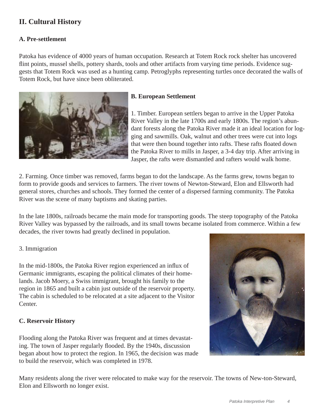## **II. Cultural History**

#### **A. Pre-settlement**

Patoka has evidence of 4000 years of human occupation. Research at Totem Rock rock shelter has uncovered flint points, mussel shells, pottery shards, tools and other artifacts from varying time periods. Evidence suggests that Totem Rock was used as a hunting camp. Petroglyphs representing turtles once decorated the walls of Totem Rock, but have since been obliterated.



#### **B. European Settlement**

1. Timber. European settlers began to arrive in the Upper Patoka River Valley in the late 1700s and early 1800s. The region's abundant forests along the Patoka River made it an ideal location for logging and sawmills. Oak, walnut and other trees were cut into logs that were then bound together into rafts. These rafts floated down the Patoka River to mills in Jasper, a 3-4 day trip. After arriving in Jasper, the rafts were dismantled and rafters would walk home.

2. Farming. Once timber was removed, farms began to dot the landscape. As the farms grew, towns began to form to provide goods and services to farmers. The river towns of Newton-Steward, Elon and Ellsworth had general stores, churches and schools. They formed the center of a dispersed farming community. The Patoka River was the scene of many baptisms and skating parties.

In the late 1800s, railroads became the main mode for transporting goods. The steep topography of the Patoka River Valley was bypassed by the railroads, and its small towns became isolated from commerce. Within a few decades, the river towns had greatly declined in population.

#### 3. Immigration

In the mid-1800s, the Patoka River region experienced an influx of Germanic immigrants, escaping the political climates of their homelands. Jacob Moery, a Swiss immigrant, brought his family to the region in 1865 and built a cabin just outside of the reservoir property. The cabin is scheduled to be relocated at a site adjacent to the Visitor Center.

#### **C. Reservoir History**

Flooding along the Patoka River was frequent and at times devastating. The town of Jasper regularly flooded. By the 1940s, discussion began about how to protect the region. In 1965, the decision was made to build the reservoir, which was completed in 1978.



Many residents along the river were relocated to make way for the reservoir. The towns of New-ton-Steward, Elon and Ellsworth no longer exist.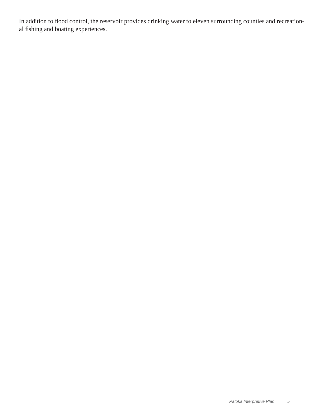In addition to flood control, the reservoir provides drinking water to eleven surrounding counties and recreational fishing and boating experiences.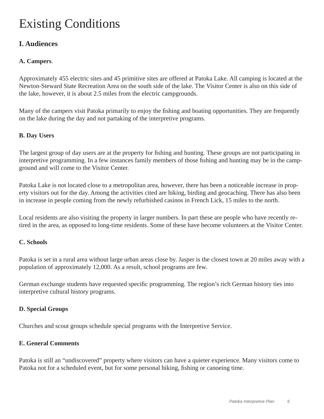# Existing Conditions

### **I. Audiences**

#### **A. Campers**.

Approximately 455 electric sites and 45 primitive sites are offered at Patoka Lake. All camping is located at the Newton-Steward State Recreation Area on the south side of the lake. The Visitor Center is also on this side of the lake, however, it is about 2.5 miles from the electric campgrounds.

Many of the campers visit Patoka primarily to enjoy the fishing and boating opportunities. They are frequently on the lake during the day and not partaking of the interpretive programs.

#### **B. Day Users**

The largest group of day users are at the property for fishing and hunting. These groups are not participating in interpretive programming. In a few instances family members of those fishing and hunting may be in the campground and will come to the Visitor Center.

Patoka Lake is not located close to a metropolitan area, however, there has been a noticeable increase in property visitors out for the day. Among the activities cited are hiking, birding and geocaching. There has also been in increase in people coming from the newly refurbished casinos in French Lick, 15 miles to the north.

Local residents are also visiting the property in larger numbers. In part these are people who have recently retired in the area, as opposed to long-time residents. Some of these have become volunteers at the Visitor Center.

#### **C. Schools**

Patoka is set in a rural area without large urban areas close by. Jasper is the closest town at 20 miles away with a population of approximately 12,000. As a result, school programs are few.

German exchange students have requested specific programming. The region's rich German history ties into interpretive cultural history programs.

#### **D. Special Groups**

Churches and scout groups schedule special programs with the Interpretive Service.

#### **E. General Comments**

Patoka is still an "undiscovered" property where visitors can have a quieter experience. Many visitors come to Patoka not for a scheduled event, but for some personal hiking, fishing or canoeing time.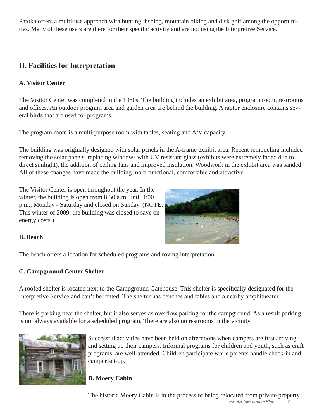Patoka offers a multi-use approach with hunting, fishing, mountain biking and disk golf among the opportunities. Many of these users are there for their specific activity and are not using the Interpretive Service.

# **II. Facilities for Interpretation**

#### **A. Visitor Center**

The Visitor Center was completed in the 1980s. The building includes an exhibit area, program room, restrooms and offices. An outdoor program area and garden area are behind the building. A raptor enclosure contains several birds that are used for programs.

The program room is a multi-purpose room with tables, seating and A/V capacity.

The building was originally designed with solar panels in the A-frame exhibit area. Recent remodeling included removing the solar panels, replacing windows with UV resistant glass (exhibits were extremely faded due to direct sunlight), the addition of ceiling fans and improved insulation. Woodwork in the exhibit area was sanded. All of these changes have made the building more functional, comfortable and attractive.

The Visitor Center is open throughout the year. In the winter, the building is open from 8:30 a.m. until 4:00 p.m., Monday - Saturday and closed on Sunday. (NOTE: This winter of 2009, the building was closed to save on energy costs.)



#### **B. Beach**

The beach offers a location for scheduled programs and roving interpretation.

#### **C. Campground Center Shelter**

A roofed shelter is located next to the Campground Gatehouse. This shelter is specifically designated for the Interpretive Service and can't be rented. The shelter has benches and tables and a nearby amphitheater.

There is parking near the shelter, but it also serves as overflow parking for the campground. As a result parking is not always available for a scheduled program. There are also no restrooms in the vicinity.



Successful activities have been held on afternoons when campers are first arriving and setting up their campers. Informal programs for children and youth, such as craft programs, are well-attended. Children participate while parents handle check-in and camper set-up.

#### **D. Moery Cabin**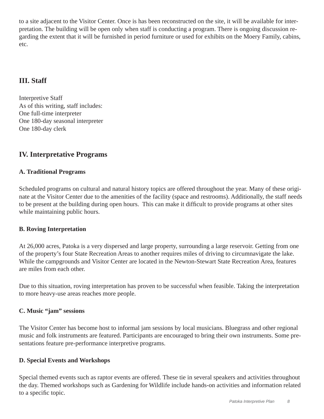to a site adjacent to the Visitor Center. Once is has been reconstructed on the site, it will be available for interpretation. The building will be open only when staff is conducting a program. There is ongoing discussion regarding the extent that it will be furnished in period furniture or used for exhibits on the Moery Family, cabins, etc.

### **III. Staff**

Interpretive Staff As of this writing, staff includes: One full-time interpreter One 180-day seasonal interpreter One 180-day clerk

### **IV. Interpretative Programs**

#### **A. Traditional Programs**

Scheduled programs on cultural and natural history topics are offered throughout the year. Many of these originate at the Visitor Center due to the amenities of the facility (space and restrooms). Additionally, the staff needs to be present at the building during open hours. This can make it difficult to provide programs at other sites while maintaining public hours.

#### **B. Roving Interpretation**

At 26,000 acres, Patoka is a very dispersed and large property, surrounding a large reservoir. Getting from one of the property's four State Recreation Areas to another requires miles of driving to circumnavigate the lake. While the campgrounds and Visitor Center are located in the Newton-Stewart State Recreation Area, features are miles from each other.

Due to this situation, roving interpretation has proven to be successful when feasible. Taking the interpretation to more heavy-use areas reaches more people.

#### **C. Music "jam" sessions**

The Visitor Center has become host to informal jam sessions by local musicians. Bluegrass and other regional music and folk instruments are featured. Participants are encouraged to bring their own instruments. Some presentations feature pre-performance interpretive programs.

#### **D. Special Events and Workshops**

Special themed events such as raptor events are offered. These tie in several speakers and activities throughout the day. Themed workshops such as Gardening for Wildlife include hands-on activities and information related to a specific topic.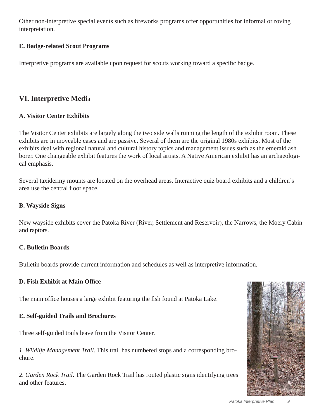Other non-interpretive special events such as fireworks programs offer opportunities for informal or roving interpretation.

#### **E. Badge-related Scout Programs**

Interpretive programs are available upon request for scouts working toward a specific badge.

### **VI. Interpretive Medi**a

#### **A. Visitor Center Exhibits**

The Visitor Center exhibits are largely along the two side walls running the length of the exhibit room. These exhibits are in moveable cases and are passive. Several of them are the original 1980s exhibits. Most of the exhibits deal with regional natural and cultural history topics and management issues such as the emerald ash borer. One changeable exhibit features the work of local artists. A Native American exhibit has an archaeological emphasis.

Several taxidermy mounts are located on the overhead areas. Interactive quiz board exhibits and a children's area use the central floor space.

#### **B. Wayside Signs**

New wayside exhibits cover the Patoka River (River, Settlement and Reservoir), the Narrows, the Moery Cabin and raptors.

#### **C. Bulletin Boards**

Bulletin boards provide current information and schedules as well as interpretive information.

#### **D. Fish Exhibit at Main Offi ce**

The main office houses a large exhibit featuring the fish found at Patoka Lake.

#### **E. Self-guided Trails and Brochures**

Three self-guided trails leave from the Visitor Center.

*1. Wildlife Management Trail.* This trail has numbered stops and a corresponding brochure.

*2. Garden Rock Trail.* The Garden Rock Trail has routed plastic signs identifying trees and other features.

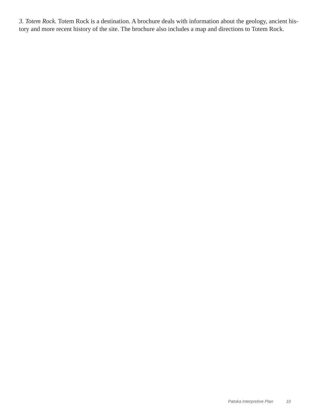*3. Totem Rock.* Totem Rock is a destination. A brochure deals with information about the geology, ancient history and more recent history of the site. The brochure also includes a map and directions to Totem Rock.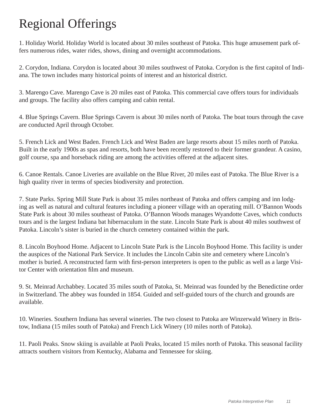# Regional Offerings

1. Holiday World. Holiday World is located about 30 miles southeast of Patoka. This huge amusement park offers numerous rides, water rides, shows, dining and overnight accommodations.

2. Corydon, Indiana. Corydon is located about 30 miles southwest of Patoka. Corydon is the first capitol of Indiana. The town includes many historical points of interest and an historical district.

3. Marengo Cave. Marengo Cave is 20 miles east of Patoka. This commercial cave offers tours for individuals and groups. The facility also offers camping and cabin rental.

4. Blue Springs Cavern. Blue Springs Cavern is about 30 miles north of Patoka. The boat tours through the cave are conducted April through October.

5. French Lick and West Baden. French Lick and West Baden are large resorts about 15 miles north of Patoka. Built in the early 1900s as spas and resorts, both have been recently restored to their former grandeur. A casino, golf course, spa and horseback riding are among the activities offered at the adjacent sites.

6. Canoe Rentals. Canoe Liveries are available on the Blue River, 20 miles east of Patoka. The Blue River is a high quality river in terms of species biodiversity and protection.

7. State Parks. Spring Mill State Park is about 35 miles northeast of Patoka and offers camping and inn lodging as well as natural and cultural features including a pioneer village with an operating mill. O'Bannon Woods State Park is about 30 miles southeast of Patoka. O'Bannon Woods manages Wyandotte Caves, which conducts tours and is the largest Indiana bat hibernaculum in the state. Lincoln State Park is about 40 miles southwest of Patoka. Lincoln's sister is buried in the church cemetery contained within the park.

8. Lincoln Boyhood Home. Adjacent to Lincoln State Park is the Lincoln Boyhood Home. This facility is under the auspices of the National Park Service. It includes the Lincoln Cabin site and cemetery where Lincoln's mother is buried. A reconstructed farm with first-person interpreters is open to the public as well as a large Visitor Center with orientation film and museum.

9. St. Meinrad Archabbey. Located 35 miles south of Patoka, St. Meinrad was founded by the Benedictine order in Switzerland. The abbey was founded in 1854. Guided and self-guided tours of the church and grounds are available.

10. Wineries. Southern Indiana has several wineries. The two closest to Patoka are Winzerwald Winery in Bristow, Indiana (15 miles south of Patoka) and French Lick Winery (10 miles north of Patoka).

11. Paoli Peaks. Snow skiing is available at Paoli Peaks, located 15 miles north of Patoka. This seasonal facility attracts southern visitors from Kentucky, Alabama and Tennessee for skiing.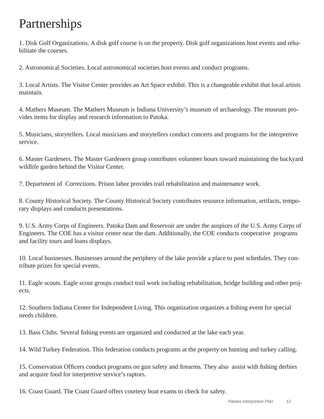# Partnerships

1. Disk Golf Organizations. A disk golf course is on the property. Disk golf organizations host events and rehabilitate the courses.

2. Astronomical Societies. Local astronomical societies host events and conduct programs.

3. Local Artists. The Visitor Center provides an Art Space exhibit. This is a changeable exhibit that local artists maintain.

4. Mathers Museum. The Mathers Museum is Indiana University's museum of archaeology. The museum provides items for display and research information to Patoka.

5. Musicians, storytellers. Local musicians and storytellers conduct concerts and programs for the interpretive service.

6. Master Gardeners. The Master Gardeners group contributes volunteer hours toward maintaining the backyard wildlife garden behind the Visitor Center.

7. Department of Corrections. Prison labor provides trail rehabilitation and maintenance work.

8. County Historical Society. The County Historical Society contributes resource information, artifacts, temporary displays and conducts presentations.

9. U.S. Army Corps of Engineers. Patoka Dam and Reservoir are under the auspices of the U.S. Army Corps of Engineers. The COE has a visitor center near the dam. Additionally, the COE conducts cooperative programs and facility tours and loans displays.

10. Local businesses. Businesses around the periphery of the lake provide a place to post schedules. They contribute prizes for special events.

11. Eagle scouts. Eagle scout groups conduct trail work including rehabilitation, bridge building and other projects.

12. Southern Indiana Center for Independent Living. This organization organizes a fishing event for special needs children.

13. Bass Clubs. Several fishing events are organized and conducted at the lake each year.

14. Wild Turkey Federation. This federation conducts programs at the property on hunting and turkey calling.

15. Conservation Officers conduct programs on gun safety and firearms. They also assist with fishing derbies and acquire food for interpretive service's raptors.

16. Coast Guard. The Coast Guard offers courtesy boat exams to check for safety.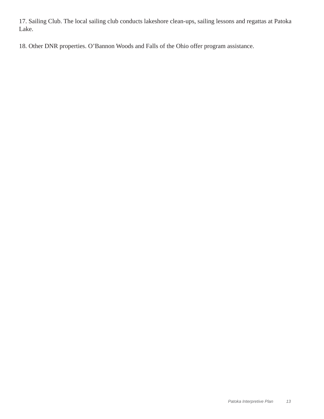17. Sailing Club. The local sailing club conducts lakeshore clean-ups, sailing lessons and regattas at Patoka Lake.

18. Other DNR properties. O'Bannon Woods and Falls of the Ohio offer program assistance.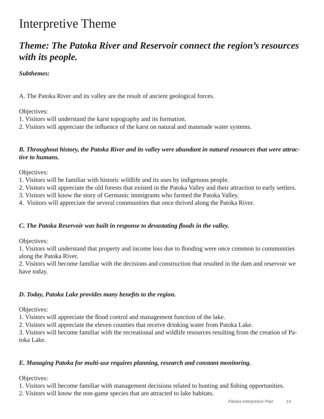# Interpretive Theme

# *Theme: The Patoka River and Reservoir connect the region's resources with its people.*

#### *Subthemes:*

A. The Patoka River and its valley are the result of ancient geological forces.

#### Objectives:

- 1. Visitors will understand the karst topography and its formation.
- 2. Visitors will appreciate the influence of the karst on natural and manmade water systems.

#### *B. Throughout history, the Patoka River and its valley were abundant in natural resources that were attractive to humans.*

Objectives:

- 1. Visitors will be familiar with historic wildlife and its uses by indigenous people.
- 2. Visitors will appreciate the old forests that existed in the Patoka Valley and their attraction to early settlers.
- 3. Visitors will know the story of Germanic immigrants who farmed the Patoka Valley.
- 4. Visitors will appreciate the several communities that once thrived along the Patoka River.

#### *C. The Patoka Reservoir was built in response to devastating fl oods in the valley.*

Objectives:

1. Visitors will understand that property and income loss due to flooding were once common to communities along the Patoka River.

2. Visitors will become familiar with the decisions and construction that resulted in the dam and reservoir we have today.

#### *D. Today, Patoka Lake provides many benefits to the region.*

Objectives:

1. Visitors will appreciate the flood control and management function of the lake.

2. Visitors will appreciate the eleven counties that receive drinking water from Patoka Lake.

3. Visitors will become familiar with the recreational and wildlife resources resulting from the creation of Patoka Lake.

#### *E. Managing Patoka for multi-use requires planning, research and constant monitoring.*

Objectives:

1. Visitors will become familiar with management decisions related to hunting and fishing opportunities.

2. Visitors will know the non-game species that are attracted to lake habitats.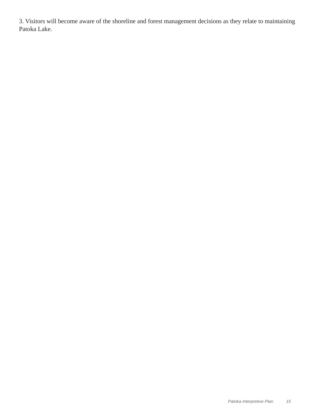3. Visitors will become aware of the shoreline and forest management decisions as they relate to maintaining Patoka Lake.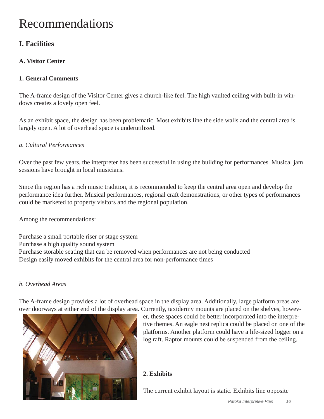# Recommendations

## **I. Facilities**

#### **A. Visitor Center**

#### **1. General Comments**

The A-frame design of the Visitor Center gives a church-like feel. The high vaulted ceiling with built-in windows creates a lovely open feel.

As an exhibit space, the design has been problematic. Most exhibits line the side walls and the central area is largely open. A lot of overhead space is underutilized.

#### *a. Cultural Performances*

Over the past few years, the interpreter has been successful in using the building for performances. Musical jam sessions have brought in local musicians.

Since the region has a rich music tradition, it is recommended to keep the central area open and develop the performance idea further. Musical performances, regional craft demonstrations, or other types of performances could be marketed to property visitors and the regional population.

Among the recommendations:

Purchase a small portable riser or stage system Purchase a high quality sound system Purchase storable seating that can be removed when performances are not being conducted Design easily moved exhibits for the central area for non-performance times

#### *b. Overhead Areas*

The A-frame design provides a lot of overhead space in the display area. Additionally, large platform areas are over doorways at either end of the display area. Currently, taxidermy mounts are placed on the shelves, howev-



er, these spaces could be better incorporated into the interpretive themes. An eagle nest replica could be placed on one of the platforms. Another platform could have a life-sized logger on a log raft. Raptor mounts could be suspended from the ceiling.

#### **2. Exhibits**

The current exhibit layout is static. Exhibits line opposite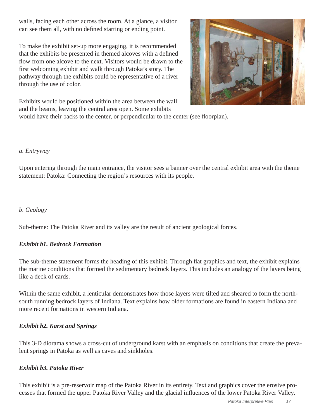walls, facing each other across the room. At a glance, a visitor can see them all, with no defined starting or ending point.

To make the exhibit set-up more engaging, it is recommended that the exhibits be presented in themed alcoves with a defined flow from one alcove to the next. Visitors would be drawn to the first welcoming exhibit and walk through Patoka's story. The pathway through the exhibits could be representative of a river through the use of color.



Exhibits would be positioned within the area between the wall and the beams, leaving the central area open. Some exhibits

would have their backs to the center, or perpendicular to the center (see floorplan).

#### *a. Entryway*

Upon entering through the main entrance, the visitor sees a banner over the central exhibit area with the theme statement: Patoka: Connecting the region's resources with its people.

#### *b. Geology*

Sub-theme: The Patoka River and its valley are the result of ancient geological forces.

#### *Exhibit b1. Bedrock Formation*

The sub-theme statement forms the heading of this exhibit. Through flat graphics and text, the exhibit explains the marine conditions that formed the sedimentary bedrock layers. This includes an analogy of the layers being like a deck of cards.

Within the same exhibit, a lenticular demonstrates how those layers were tilted and sheared to form the northsouth running bedrock layers of Indiana. Text explains how older formations are found in eastern Indiana and more recent formations in western Indiana.

#### *Exhibit b2. Karst and Springs*

This 3-D diorama shows a cross-cut of underground karst with an emphasis on conditions that create the prevalent springs in Patoka as well as caves and sinkholes.

#### *Exhibit b3. Patoka River*

This exhibit is a pre-reservoir map of the Patoka River in its entirety. Text and graphics cover the erosive processes that formed the upper Patoka River Valley and the glacial influences of the lower Patoka River Valley.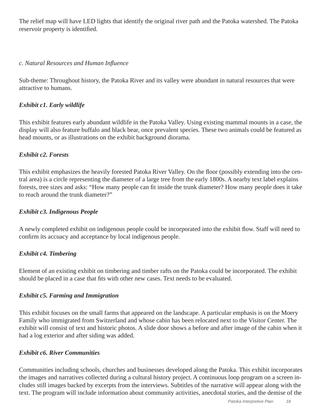The relief map will have LED lights that identify the original river path and the Patoka watershed. The Patoka reservoir property is identified.

#### *c. Natural Resources and Human Infl uence*

Sub-theme: Throughout history, the Patoka River and its valley were abundant in natural resources that were attractive to humans.

#### *Exhibit c1. Early wildlife*

This exhibit features early abundant wildlife in the Patoka Valley. Using existing mammal mounts in a case, the display will also feature buffalo and black bear, once prevalent species. These two animals could be featured as head mounts, or as illustrations on the exhibit background diorama.

#### *Exhibit c2. Forests*

This exhibit emphasizes the heavily forested Patoka River Valley. On the floor (possibly extending into the central area) is a circle representing the diameter of a large tree from the early 1800s. A nearby text label explains forests, tree sizes and asks: "How many people can fit inside the trunk diameter? How many people does it take to reach around the trunk diameter?"

#### *Exhibit c3. Indigenous People*

A newly completed exhibit on indigenous people could be incorporated into the exhibit flow. Staff will need to confirm its accuacy and acceptance by local indigenous people.

#### *Exhibit c4. Timbering*

Element of an existing exhibit on timbering and timber rafts on the Patoka could be incorporated. The exhibit should be placed in a case that fits with other new cases. Text needs to be evaluated.

#### *Exhibit c5. Farming and Immigration*

This exhibit focuses on the small farms that appeared on the landscape. A particular emphasis is on the Moery Family who immigrated from Switzerland and whose cabin has been relocated next to the Visitor Center. The exhibit will consist of text and historic photos. A slide door shows a before and after image of the cabin when it had a log exterior and after siding was added.

#### *Exhibit c6. River Communities*

Communities including schools, churches and businesses developed along the Patoka. This exhibit incorporates the images and narratives collected during a cultural history project. A continuous loop program on a screen includes still images backed by excerpts from the interviews. Subtitles of the narrative will appear along with the text. The program will include information about community activities, anecdotal stories, and the demise of the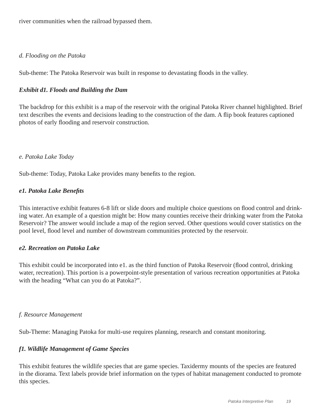river communities when the railroad bypassed them.

#### *d. Flooding on the Patoka*

Sub-theme: The Patoka Reservoir was built in response to devastating floods in the valley.

#### *Exhibit d1. Floods and Building the Dam*

The backdrop for this exhibit is a map of the reservoir with the original Patoka River channel highlighted. Brief text describes the events and decisions leading to the construction of the dam. A flip book features captioned photos of early flooding and reservoir construction.

#### *e. Patoka Lake Today*

Sub-theme: Today, Patoka Lake provides many benefits to the region.

#### *e1. Patoka Lake Benefits*

This interactive exhibit features 6-8 lift or slide doors and multiple choice questions on flood control and drinking water. An example of a question might be: How many counties receive their drinking water from the Patoka Reservoir? The answer would include a map of the region served. Other questions would cover statistics on the pool level, flood level and number of downstream communities protected by the reservoir.

#### *e2. Recreation on Patoka Lake*

This exhibit could be incorporated into e1. as the third function of Patoka Reservoir (flood control, drinking water, recreation). This portion is a powerpoint-style presentation of various recreation opportunities at Patoka with the heading "What can you do at Patoka?".

#### *f. Resource Management*

Sub-Theme: Managing Patoka for multi-use requires planning, research and constant monitoring.

#### *f1. Wildlife Management of Game Species*

This exhibit features the wildlife species that are game species. Taxidermy mounts of the species are featured in the diorama. Text labels provide brief information on the types of habitat management conducted to promote this species.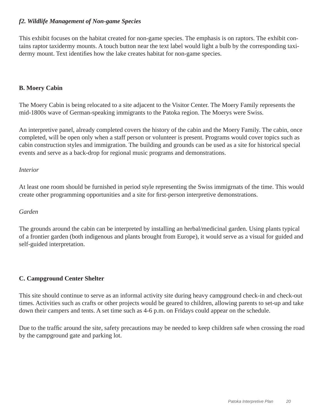#### *f2. Wildlife Management of Non-game Species*

This exhibit focuses on the habitat created for non-game species. The emphasis is on raptors. The exhibit contains raptor taxidermy mounts. A touch button near the text label would light a bulb by the corresponding taxidermy mount. Text identifies how the lake creates habitat for non-game species.

#### **B. Moery Cabin**

The Moery Cabin is being relocated to a site adjacent to the Visitor Center. The Moery Family represents the mid-1800s wave of German-speaking immigrants to the Patoka region. The Moerys were Swiss.

An interpretive panel, already completed covers the history of the cabin and the Moery Family. The cabin, once completed, will be open only when a staff person or volunteer is present. Programs would cover topics such as cabin construction styles and immigration. The building and grounds can be used as a site for historical special events and serve as a back-drop for regional music programs and demonstrations.

#### *Interior*

At least one room should be furnished in period style representing the Swiss immigrnats of the time. This would create other programming opportunities and a site for first-person interpretive demonstrations.

#### *Garden*

The grounds around the cabin can be interpreted by installing an herbal/medicinal garden. Using plants typical of a frontier garden (both indigenous and plants brought from Europe), it would serve as a visual for guided and self-guided interpretation.

#### **C. Campground Center Shelter**

This site should continue to serve as an informal activity site during heavy campground check-in and check-out times. Activities such as crafts or other projects would be geared to children, allowing parents to set-up and take down their campers and tents. A set time such as 4-6 p.m. on Fridays could appear on the schedule.

Due to the traffic around the site, safety precautions may be needed to keep children safe when crossing the road by the campground gate and parking lot.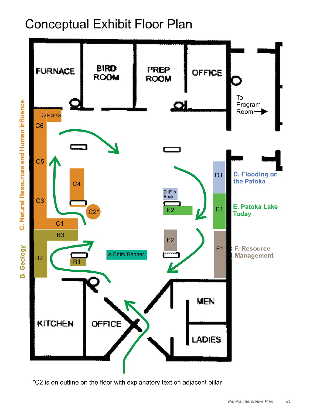# **Conceptual Exhibit Floor Plan**



\*C2 is on outline on the floor with explanatory text on adjacent pillar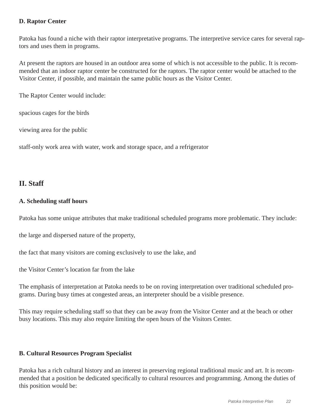#### **D. Raptor Center**

Patoka has found a niche with their raptor interpretative programs. The interpretive service cares for several raptors and uses them in programs.

At present the raptors are housed in an outdoor area some of which is not accessible to the public. It is recommended that an indoor raptor center be constructed for the raptors. The raptor center would be attached to the Visitor Center, if possible, and maintain the same public hours as the Visitor Center.

The Raptor Center would include:

spacious cages for the birds

viewing area for the public

staff-only work area with water, work and storage space, and a refrigerator

#### **II. Staff**

#### **A. Scheduling staff hours**

Patoka has some unique attributes that make traditional scheduled programs more problematic. They include:

the large and dispersed nature of the property,

the fact that many visitors are coming exclusively to use the lake, and

the Visitor Center's location far from the lake

The emphasis of interpretation at Patoka needs to be on roving interpretation over traditional scheduled programs. During busy times at congested areas, an interpreter should be a visible presence.

This may require scheduling staff so that they can be away from the Visitor Center and at the beach or other busy locations. This may also require limiting the open hours of the Visitors Center.

#### **B. Cultural Resources Program Specialist**

Patoka has a rich cultural history and an interest in preserving regional traditional music and art. It is recommended that a position be dedicated specifically to cultural resources and programming. Among the duties of this position would be: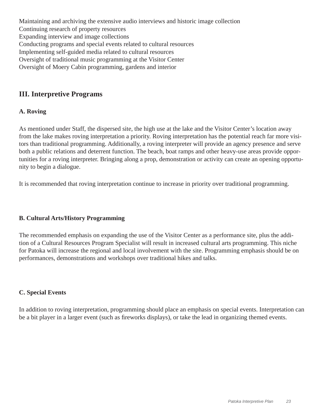Maintaining and archiving the extensive audio interviews and historic image collection Continuing research of property resources Expanding interview and image collections Conducting programs and special events related to cultural resources Implementing self-guided media related to cultural resources Oversight of traditional music programming at the Visitor Center Oversight of Moery Cabin programming, gardens and interior

### **III. Interpretive Programs**

#### **A. Roving**

As mentioned under Staff, the dispersed site, the high use at the lake and the Visitor Center's location away from the lake makes roving interpretation a priority. Roving interpretation has the potential reach far more visitors than traditional programming. Additionally, a roving interpreter will provide an agency presence and serve both a public relations and deterrent function. The beach, boat ramps and other heavy-use areas provide opportunities for a roving interpreter. Bringing along a prop, demonstration or activity can create an opening opportunity to begin a dialogue.

It is recommended that roving interpretation continue to increase in priority over traditional programming.

#### **B. Cultural Arts/History Programming**

The recommended emphasis on expanding the use of the Visitor Center as a performance site, plus the addition of a Cultural Resources Program Specialist will result in increased cultural arts programming. This niche for Patoka will increase the regional and local involvement with the site. Programming emphasis should be on performances, demonstrations and workshops over traditional hikes and talks.

#### **C. Special Events**

In addition to roving interpretation, programming should place an emphasis on special events. Interpretation can be a bit player in a larger event (such as fireworks displays), or take the lead in organizing themed events.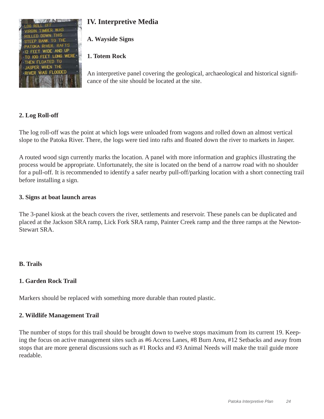

# **IV. Interpretive Media**

**A. Wayside Signs**

### **1. Totem Rock**

An interpretive panel covering the geological, archaeological and historical significance of the site should be located at the site.

### **2. Log Roll-off**

The log roll-off was the point at which logs were unloaded from wagons and rolled down an almost vertical slope to the Patoka River. There, the logs were tied into rafts and floated down the river to markets in Jasper.

A routed wood sign currently marks the location. A panel with more information and graphics illustrating the process would be appropriate. Unfortunately, the site is located on the bend of a narrow road with no shoulder for a pull-off. It is recommended to identify a safer nearby pull-off/parking location with a short connecting trail before installing a sign.

#### **3. Signs at boat launch areas**

The 3-panel kiosk at the beach covers the river, settlements and reservoir. These panels can be duplicated and placed at the Jackson SRA ramp, Lick Fork SRA ramp, Painter Creek ramp and the three ramps at the Newton-Stewart SRA.

#### **B. Trails**

#### **1. Garden Rock Trail**

Markers should be replaced with something more durable than routed plastic.

#### **2. Wildlife Management Trail**

The number of stops for this trail should be brought down to twelve stops maximum from its current 19. Keeping the focus on active management sites such as #6 Access Lanes, #8 Burn Area, #12 Setbacks and away from stops that are more general discussions such as #1 Rocks and #3 Animal Needs will make the trail guide more readable.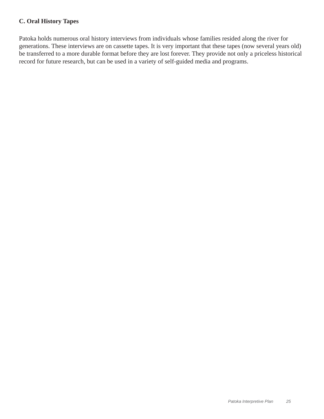#### **C. Oral History Tapes**

Patoka holds numerous oral history interviews from individuals whose families resided along the river for generations. These interviews are on cassette tapes. It is very important that these tapes (now several years old) be transferred to a more durable format before they are lost forever. They provide not only a priceless historical record for future research, but can be used in a variety of self-guided media and programs.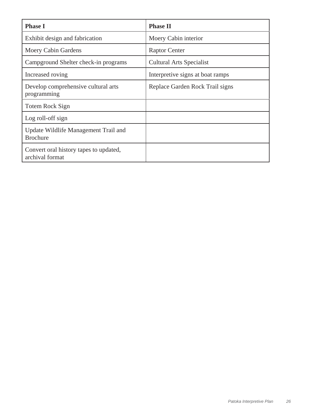| <b>Phase I</b>                                            | <b>Phase II</b>                  |
|-----------------------------------------------------------|----------------------------------|
| Exhibit design and fabrication                            | Moery Cabin interior             |
| Moery Cabin Gardens                                       | <b>Raptor Center</b>             |
| Campground Shelter check-in programs                      | <b>Cultural Arts Specialist</b>  |
| Increased roving                                          | Interpretive signs at boat ramps |
| Develop comprehensive cultural arts<br>programming        | Replace Garden Rock Trail signs  |
| Totem Rock Sign                                           |                                  |
| Log roll-off sign                                         |                                  |
| Update Wildlife Management Trail and<br><b>Brochure</b>   |                                  |
| Convert oral history tapes to updated,<br>archival format |                                  |